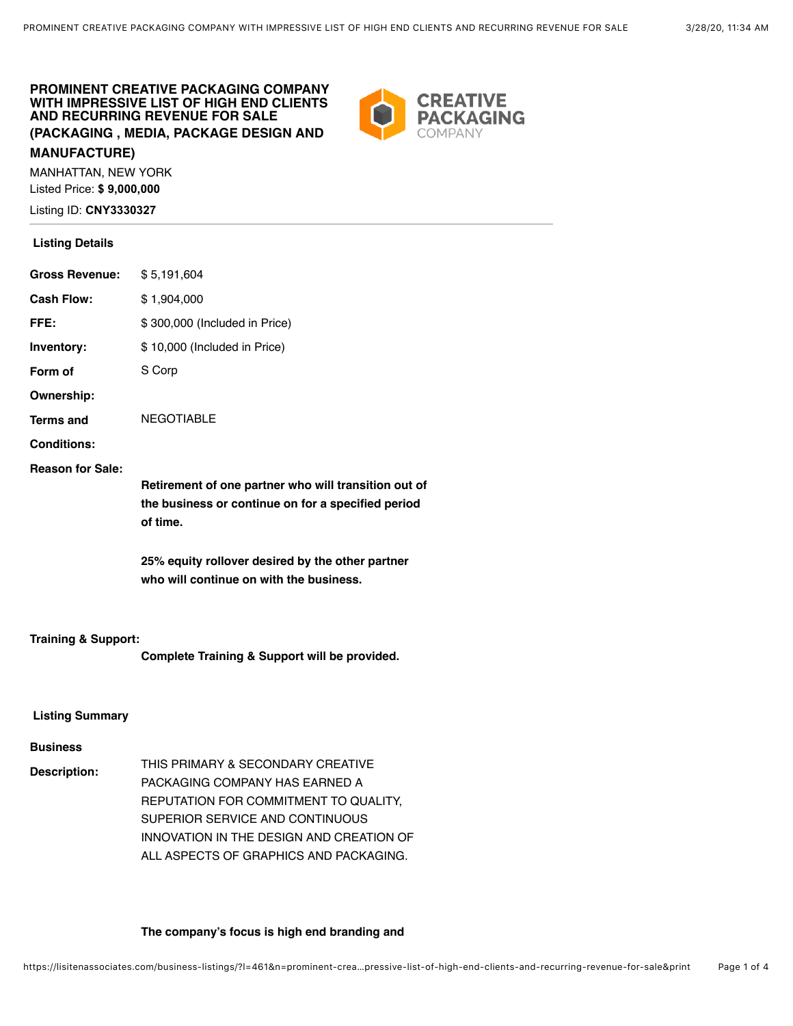## **PROMINENT CREATIVE PACKAGING COMPANY WITH IMPRESSIVE LIST OF HIGH END CLIENTS AND RECURRING REVENUE FOR SALE (PACKAGING , MEDIA, PACKAGE DESIGN AND MANUFACTURE)**

MANHATTAN, NEW YORK Listed Price: **\$ 9,000,000** Listing ID: **CNY3330327**

### **Listing Details**

|                         | Retirement of one partner who will transition out of<br>the business or continue on for a specified period<br>of time. |
|-------------------------|------------------------------------------------------------------------------------------------------------------------|
| <b>Reason for Sale:</b> |                                                                                                                        |
| <b>Conditions:</b>      |                                                                                                                        |
| <b>Terms and</b>        | <b>NEGOTIABLE</b>                                                                                                      |
| Ownership:              |                                                                                                                        |
| Form of                 | S Corp                                                                                                                 |
| Inventory:              | \$10,000 (Included in Price)                                                                                           |
| FFE:                    | \$300,000 (Included in Price)                                                                                          |
| <b>Cash Flow:</b>       | \$1,904,000                                                                                                            |
| <b>Gross Revenue:</b>   | \$5,191,604                                                                                                            |

**25% equity rollover desired by the other partner who will continue on with the business.**

### **Training & Support:**

**Complete Training & Support will be provided.**

## **Listing Summary**

## **Business**

**Description:** THIS PRIMARY & SECONDARY CREATIVE PACKAGING COMPANY HAS EARNED A REPUTATION FOR COMMITMENT TO QUALITY, SUPERIOR SERVICE AND CONTINUOUS INNOVATION IN THE DESIGN AND CREATION OF ALL ASPECTS OF GRAPHICS AND PACKAGING.

### **The company's focus is high end branding and**

**CREATIVE PACKAGING**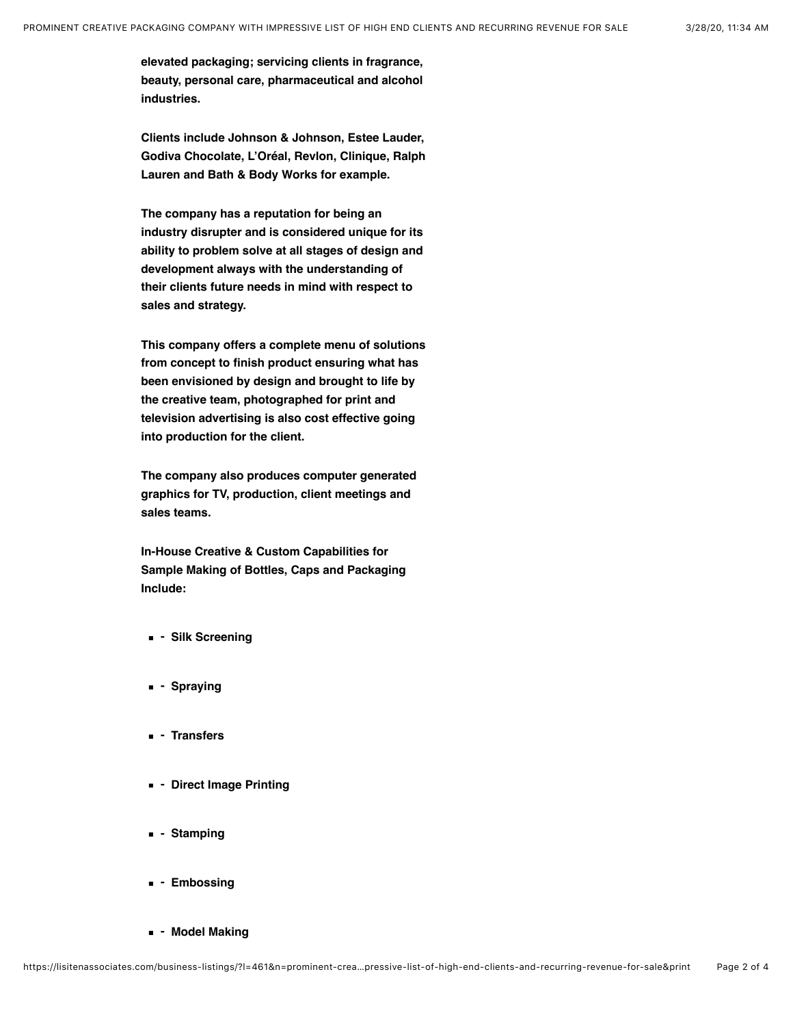**elevated packaging; servicing clients in fragrance, beauty, personal care, pharmaceutical and alcohol industries.**

**Clients include Johnson & Johnson, Estee Lauder, Godiva Chocolate, L'Oréal, Revlon, Clinique, Ralph Lauren and Bath & Body Works for example.**

**The company has a reputation for being an industry disrupter and is considered unique for its ability to problem solve at all stages of design and development always with the understanding of their clients future needs in mind with respect to sales and strategy.**

**This company offers a complete menu of solutions from concept to finish product ensuring what has been envisioned by design and brought to life by the creative team, photographed for print and television advertising is also cost effective going into production for the client.**

**The company also produces computer generated graphics for TV, production, client meetings and sales teams.**

**In-House Creative & Custom Capabilities for Sample Making of Bottles, Caps and Packaging Include:**

- **Silk Screening**
- **Spraying**
- **Transfers**
- **Direct Image Printing**
- **Stamping**
- **Embossing**
- **Model Making**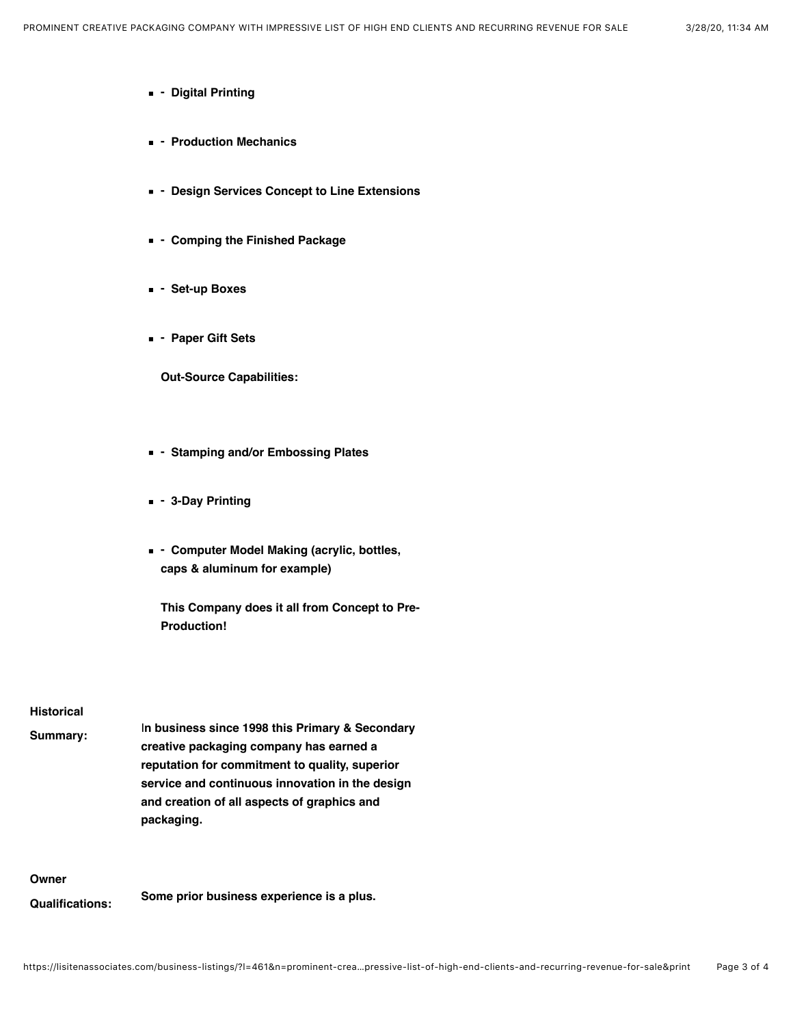- **Digital Printing**
- **Production Mechanics**
- **Design Services Concept to Line Extensions**
- **Comping the Finished Package**
- **Set-up Boxes**
- **Paper Gift Sets**

**Out-Source Capabilities:**

- **Stamping and/or Embossing Plates**
- **3-Day Printing**
- **Computer Model Making (acrylic, bottles, caps & aluminum for example)**
	- **This Company does it all from Concept to Pre-Production!**

#### **Historical**

| Summarv: | In business since 1998 this Primary & Secondary |
|----------|-------------------------------------------------|
|          | creative packaging company has earned a         |
|          | reputation for commitment to quality, superior  |
|          | service and continuous innovation in the design |
|          | and creation of all aspects of graphics and     |
|          | packaging.                                      |

## **Owner**

**Qualifications: Some prior business experience is a plus.**